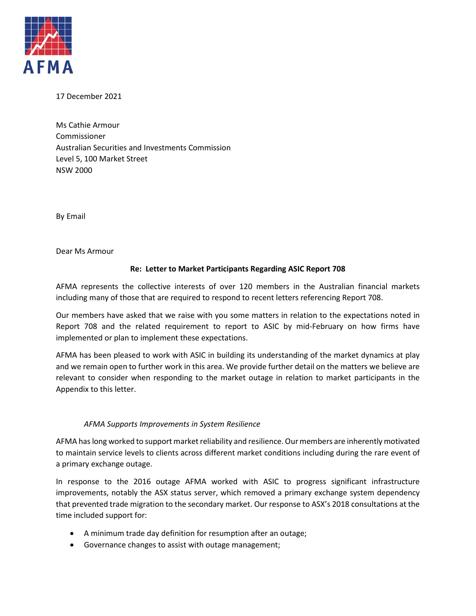

17 December 2021

Ms Cathie Armour Commissioner Australian Securities and Investments Commission Level 5, 100 Market Street NSW 2000

By Email

Dear Ms Armour

### **Re: Letter to Market Participants Regarding ASIC Report 708**

AFMA represents the collective interests of over 120 members in the Australian financial markets including many of those that are required to respond to recent letters referencing Report 708.

Our members have asked that we raise with you some matters in relation to the expectations noted in Report 708 and the related requirement to report to ASIC by mid-February on how firms have implemented or plan to implement these expectations.

AFMA has been pleased to work with ASIC in building its understanding of the market dynamics at play and we remain open to further work in this area. We provide further detail on the matters we believe are relevant to consider when responding to the market outage in relation to market participants in the Appendix to this letter.

#### *AFMA Supports Improvements in System Resilience*

AFMA has long worked to support market reliability and resilience. Our members are inherently motivated to maintain service levels to clients across different market conditions including during the rare event of a primary exchange outage.

In response to the 2016 outage AFMA worked with ASIC to progress significant infrastructure improvements, notably the ASX status server, which removed a primary exchange system dependency that prevented trade migration to the secondary market. Our response to ASX's 2018 consultations at the time included support for:

- A minimum trade day definition for resumption after an outage;
- Governance changes to assist with outage management;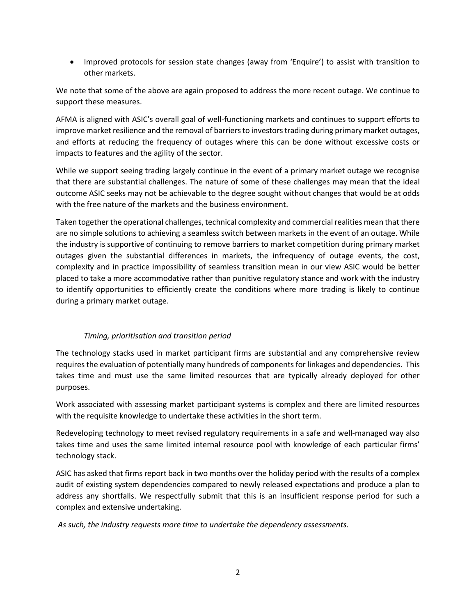• Improved protocols for session state changes (away from 'Enquire') to assist with transition to other markets.

We note that some of the above are again proposed to address the more recent outage. We continue to support these measures.

AFMA is aligned with ASIC's overall goal of well-functioning markets and continues to support efforts to improve market resilience and the removal of barriers to investors trading during primary market outages, and efforts at reducing the frequency of outages where this can be done without excessive costs or impacts to features and the agility of the sector.

While we support seeing trading largely continue in the event of a primary market outage we recognise that there are substantial challenges. The nature of some of these challenges may mean that the ideal outcome ASIC seeks may not be achievable to the degree sought without changes that would be at odds with the free nature of the markets and the business environment.

Taken together the operational challenges, technical complexity and commercial realities mean that there are no simple solutions to achieving a seamless switch between markets in the event of an outage. While the industry is supportive of continuing to remove barriers to market competition during primary market outages given the substantial differences in markets, the infrequency of outage events, the cost, complexity and in practice impossibility of seamless transition mean in our view ASIC would be better placed to take a more accommodative rather than punitive regulatory stance and work with the industry to identify opportunities to efficiently create the conditions where more trading is likely to continue during a primary market outage.

# *Timing, prioritisation and transition period*

The technology stacks used in market participant firms are substantial and any comprehensive review requires the evaluation of potentially many hundreds of components for linkages and dependencies. This takes time and must use the same limited resources that are typically already deployed for other purposes.

Work associated with assessing market participant systems is complex and there are limited resources with the requisite knowledge to undertake these activities in the short term.

Redeveloping technology to meet revised regulatory requirements in a safe and well-managed way also takes time and uses the same limited internal resource pool with knowledge of each particular firms' technology stack.

ASIC has asked that firms report back in two months over the holiday period with the results of a complex audit of existing system dependencies compared to newly released expectations and produce a plan to address any shortfalls. We respectfully submit that this is an insufficient response period for such a complex and extensive undertaking.

*As such, the industry requests more time to undertake the dependency assessments.*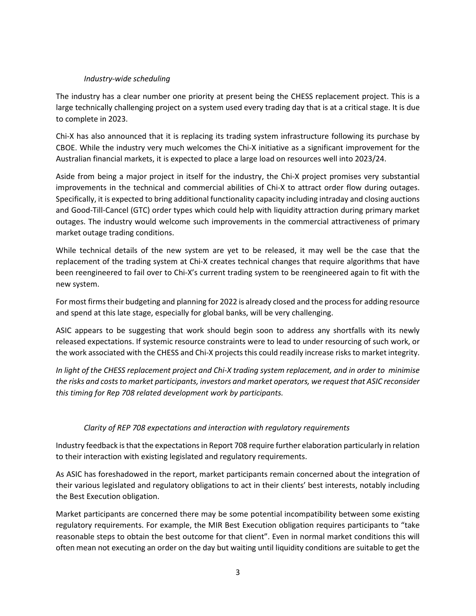#### *Industry-wide scheduling*

The industry has a clear number one priority at present being the CHESS replacement project. This is a large technically challenging project on a system used every trading day that is at a critical stage. It is due to complete in 2023.

Chi-X has also announced that it is replacing its trading system infrastructure following its purchase by CBOE. While the industry very much welcomes the Chi-X initiative as a significant improvement for the Australian financial markets, it is expected to place a large load on resources well into 2023/24.

Aside from being a major project in itself for the industry, the Chi-X project promises very substantial improvements in the technical and commercial abilities of Chi-X to attract order flow during outages. Specifically, it is expected to bring additional functionality capacity including intraday and closing auctions and Good-Till-Cancel (GTC) order types which could help with liquidity attraction during primary market outages. The industry would welcome such improvements in the commercial attractiveness of primary market outage trading conditions.

While technical details of the new system are yet to be released, it may well be the case that the replacement of the trading system at Chi-X creates technical changes that require algorithms that have been reengineered to fail over to Chi-X's current trading system to be reengineered again to fit with the new system.

For most firms their budgeting and planning for 2022 is already closed and the process for adding resource and spend at this late stage, especially for global banks, will be very challenging.

ASIC appears to be suggesting that work should begin soon to address any shortfalls with its newly released expectations. If systemic resource constraints were to lead to under resourcing of such work, or the work associated with the CHESS and Chi-X projects this could readily increase risks to market integrity.

*In light of the CHESS replacement project and Chi-X trading system replacement, and in order to minimise the risks and costs to market participants, investors and market operators, we request that ASIC reconsider this timing for Rep 708 related development work by participants.* 

# *Clarity of REP 708 expectations and interaction with regulatory requirements*

Industry feedback is that the expectations in Report 708 require further elaboration particularly in relation to their interaction with existing legislated and regulatory requirements.

As ASIC has foreshadowed in the report, market participants remain concerned about the integration of their various legislated and regulatory obligations to act in their clients' best interests, notably including the Best Execution obligation.

Market participants are concerned there may be some potential incompatibility between some existing regulatory requirements. For example, the MIR Best Execution obligation requires participants to "take reasonable steps to obtain the best outcome for that client". Even in normal market conditions this will often mean not executing an order on the day but waiting until liquidity conditions are suitable to get the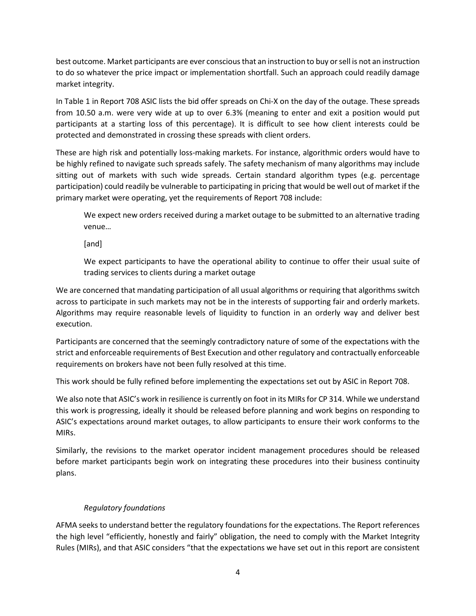best outcome. Market participants are ever conscious that an instruction to buy or sell is not an instruction to do so whatever the price impact or implementation shortfall. Such an approach could readily damage market integrity.

In Table 1 in Report 708 ASIC lists the bid offer spreads on Chi-X on the day of the outage. These spreads from 10.50 a.m. were very wide at up to over 6.3% (meaning to enter and exit a position would put participants at a starting loss of this percentage). It is difficult to see how client interests could be protected and demonstrated in crossing these spreads with client orders.

These are high risk and potentially loss-making markets. For instance, algorithmic orders would have to be highly refined to navigate such spreads safely. The safety mechanism of many algorithms may include sitting out of markets with such wide spreads. Certain standard algorithm types (e.g. percentage participation) could readily be vulnerable to participating in pricing that would be well out of market if the primary market were operating, yet the requirements of Report 708 include:

We expect new orders received during a market outage to be submitted to an alternative trading venue…

[and]

We expect participants to have the operational ability to continue to offer their usual suite of trading services to clients during a market outage

We are concerned that mandating participation of all usual algorithms or requiring that algorithms switch across to participate in such markets may not be in the interests of supporting fair and orderly markets. Algorithms may require reasonable levels of liquidity to function in an orderly way and deliver best execution.

Participants are concerned that the seemingly contradictory nature of some of the expectations with the strict and enforceable requirements of Best Execution and other regulatory and contractually enforceable requirements on brokers have not been fully resolved at this time.

This work should be fully refined before implementing the expectations set out by ASIC in Report 708.

We also note that ASIC's work in resilience is currently on foot in its MIRs for CP 314. While we understand this work is progressing, ideally it should be released before planning and work begins on responding to ASIC's expectations around market outages, to allow participants to ensure their work conforms to the MIRs.

Similarly, the revisions to the market operator incident management procedures should be released before market participants begin work on integrating these procedures into their business continuity plans.

# *Regulatory foundations*

AFMA seeks to understand better the regulatory foundations for the expectations. The Report references the high level "efficiently, honestly and fairly" obligation, the need to comply with the Market Integrity Rules (MIRs), and that ASIC considers "that the expectations we have set out in this report are consistent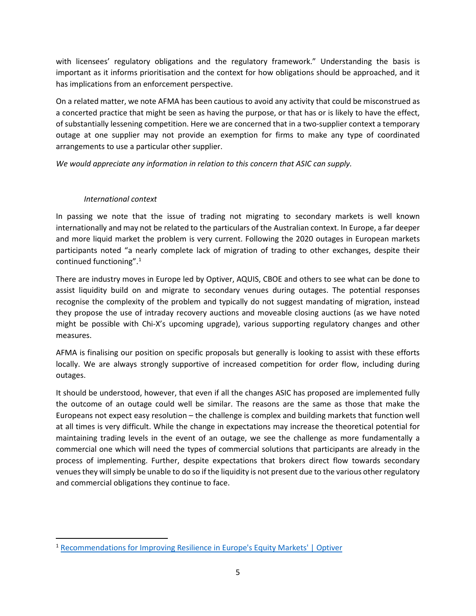with licensees' regulatory obligations and the regulatory framework." Understanding the basis is important as it informs prioritisation and the context for how obligations should be approached, and it has implications from an enforcement perspective.

On a related matter, we note AFMA has been cautious to avoid any activity that could be misconstrued as a concerted practice that might be seen as having the purpose, or that has or is likely to have the effect, of substantially lessening competition. Here we are concerned that in a two-supplier context a temporary outage at one supplier may not provide an exemption for firms to make any type of coordinated arrangements to use a particular other supplier.

*We would appreciate any information in relation to this concern that ASIC can supply.*

### *International context*

In passing we note that the issue of trading not migrating to secondary markets is well known internationally and may not be related to the particulars of the Australian context. In Europe, a far deeper and more liquid market the problem is very current. Following the 2020 outages in European markets participants noted "a nearly complete lack of migration of trading to other exchanges, despite their continued functioning". [1](#page-4-0)

There are industry moves in Europe led by Optiver, AQUIS, CBOE and others to see what can be done to assist liquidity build on and migrate to secondary venues during outages. The potential responses recognise the complexity of the problem and typically do not suggest mandating of migration, instead they propose the use of intraday recovery auctions and moveable closing auctions (as we have noted might be possible with Chi-X's upcoming upgrade), various supporting regulatory changes and other measures.

AFMA is finalising our position on specific proposals but generally is looking to assist with these efforts locally. We are always strongly supportive of increased competition for order flow, including during outages.

It should be understood, however, that even if all the changes ASIC has proposed are implemented fully the outcome of an outage could well be similar. The reasons are the same as those that make the Europeans not expect easy resolution – the challenge is complex and building markets that function well at all times is very difficult. While the change in expectations may increase the theoretical potential for maintaining trading levels in the event of an outage, we see the challenge as more fundamentally a commercial one which will need the types of commercial solutions that participants are already in the process of implementing. Further, despite expectations that brokers direct flow towards secondary venues they will simply be unable to do so if the liquidity is not present due to the various other regulatory and commercial obligations they continue to face.

<span id="page-4-0"></span><sup>1</sup> [Recommendations for Improving Resilience in Europe's Equity Markets' | Optiver](https://www.optiver.com/2021/03/04/recommendations-for-improving-resilience-in-eu-equity-markets/)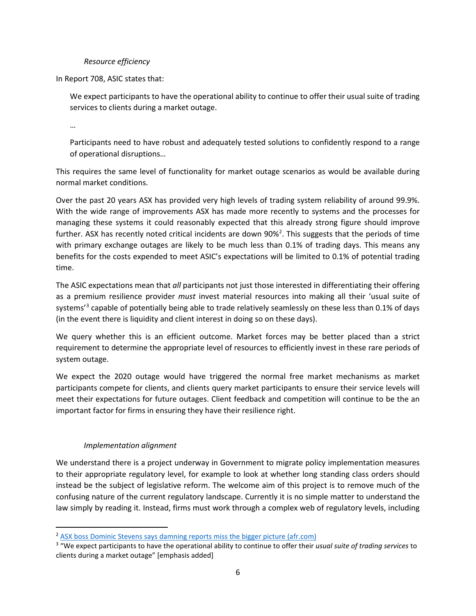#### *Resource efficiency*

In Report 708, ASIC states that:

We expect participants to have the operational ability to continue to offer their usual suite of trading services to clients during a market outage.

…

Participants need to have robust and adequately tested solutions to confidently respond to a range of operational disruptions…

This requires the same level of functionality for market outage scenarios as would be available during normal market conditions.

Over the past 20 years ASX has provided very high levels of trading system reliability of around 99.9%. With the wide range of improvements ASX has made more recently to systems and the processes for managing these systems it could reasonably expected that this already strong figure should improve further. ASX has recently noted critical incidents are down 90%<sup>[2](#page-5-0)</sup>. This suggests that the periods of time with primary exchange outages are likely to be much less than 0.1% of trading days. This means any benefits for the costs expended to meet ASIC's expectations will be limited to 0.1% of potential trading time.

The ASIC expectations mean that *all* participants not just those interested in differentiating their offering as a premium resilience provider *must* invest material resources into making all their 'usual suite of systems<sup>'[3](#page-5-1)</sup> capable of potentially being able to trade relatively seamlessly on these less than 0.1% of days (in the event there is liquidity and client interest in doing so on these days).

We query whether this is an efficient outcome. Market forces may be better placed than a strict requirement to determine the appropriate level of resources to efficiently invest in these rare periods of system outage.

We expect the 2020 outage would have triggered the normal free market mechanisms as market participants compete for clients, and clients query market participants to ensure their service levels will meet their expectations for future outages. Client feedback and competition will continue to be the an important factor for firms in ensuring they have their resilience right.

# *Implementation alignment*

We understand there is a project underway in Government to migrate policy implementation measures to their appropriate regulatory level, for example to look at whether long standing class orders should instead be the subject of legislative reform. The welcome aim of this project is to remove much of the confusing nature of the current regulatory landscape. Currently it is no simple matter to understand the law simply by reading it. Instead, firms must work through a complex web of regulatory levels, including

<span id="page-5-0"></span><sup>&</sup>lt;sup>2</sup> [ASX boss Dominic Stevens says damning reports miss the bigger picture \(afr.com\)](https://www.afr.com/companies/financial-services/asx-boss-says-damning-reports-miss-the-bigger-picture-20210930-p58w1w)

<span id="page-5-1"></span><sup>3</sup> "We expect participants to have the operational ability to continue to offer their *usual suite of trading services* to clients during a market outage" [emphasis added]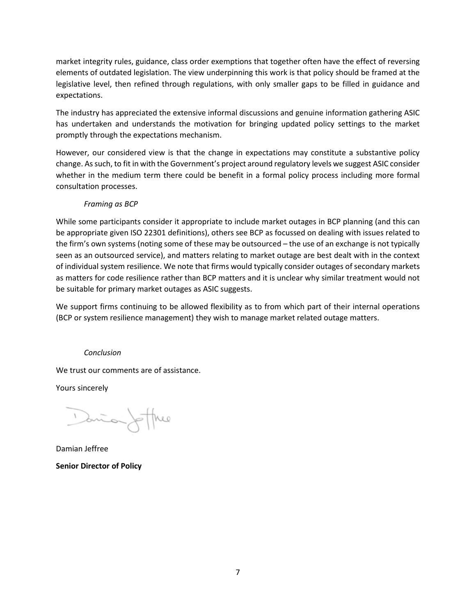market integrity rules, guidance, class order exemptions that together often have the effect of reversing elements of outdated legislation. The view underpinning this work is that policy should be framed at the legislative level, then refined through regulations, with only smaller gaps to be filled in guidance and expectations.

The industry has appreciated the extensive informal discussions and genuine information gathering ASIC has undertaken and understands the motivation for bringing updated policy settings to the market promptly through the expectations mechanism.

However, our considered view is that the change in expectations may constitute a substantive policy change. As such, to fit in with the Government's project around regulatory levels we suggest ASIC consider whether in the medium term there could be benefit in a formal policy process including more formal consultation processes.

# *Framing as BCP*

While some participants consider it appropriate to include market outages in BCP planning (and this can be appropriate given ISO 22301 definitions), others see BCP as focussed on dealing with issues related to the firm's own systems (noting some of these may be outsourced – the use of an exchange is not typically seen as an outsourced service), and matters relating to market outage are best dealt with in the context of individual system resilience. We note that firms would typically consider outages of secondary markets as matters for code resilience rather than BCP matters and it is unclear why similar treatment would not be suitable for primary market outages as ASIC suggests.

We support firms continuing to be allowed flexibility as to from which part of their internal operations (BCP or system resilience management) they wish to manage market related outage matters.

#### *Conclusion*

We trust our comments are of assistance.

Yours sincerely

Dania Joffree

Damian Jeffree **Senior Director of Policy**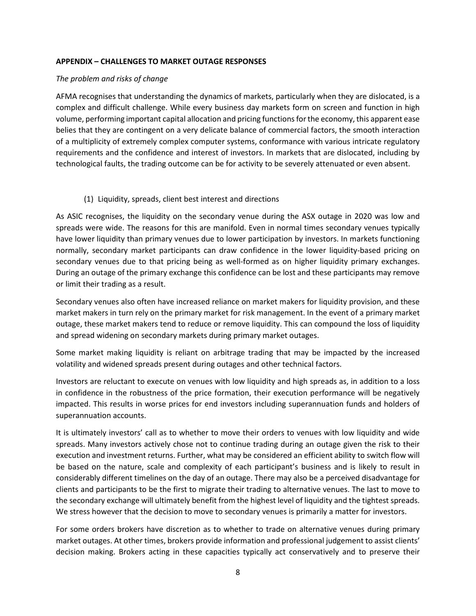#### **APPENDIX – CHALLENGES TO MARKET OUTAGE RESPONSES**

#### *The problem and risks of change*

AFMA recognises that understanding the dynamics of markets, particularly when they are dislocated, is a complex and difficult challenge. While every business day markets form on screen and function in high volume, performing important capital allocation and pricing functions for the economy, this apparent ease belies that they are contingent on a very delicate balance of commercial factors, the smooth interaction of a multiplicity of extremely complex computer systems, conformance with various intricate regulatory requirements and the confidence and interest of investors. In markets that are dislocated, including by technological faults, the trading outcome can be for activity to be severely attenuated or even absent.

#### (1) Liquidity, spreads, client best interest and directions

As ASIC recognises, the liquidity on the secondary venue during the ASX outage in 2020 was low and spreads were wide. The reasons for this are manifold. Even in normal times secondary venues typically have lower liquidity than primary venues due to lower participation by investors. In markets functioning normally, secondary market participants can draw confidence in the lower liquidity-based pricing on secondary venues due to that pricing being as well-formed as on higher liquidity primary exchanges. During an outage of the primary exchange this confidence can be lost and these participants may remove or limit their trading as a result.

Secondary venues also often have increased reliance on market makers for liquidity provision, and these market makers in turn rely on the primary market for risk management. In the event of a primary market outage, these market makers tend to reduce or remove liquidity. This can compound the loss of liquidity and spread widening on secondary markets during primary market outages.

Some market making liquidity is reliant on arbitrage trading that may be impacted by the increased volatility and widened spreads present during outages and other technical factors.

Investors are reluctant to execute on venues with low liquidity and high spreads as, in addition to a loss in confidence in the robustness of the price formation, their execution performance will be negatively impacted. This results in worse prices for end investors including superannuation funds and holders of superannuation accounts.

It is ultimately investors' call as to whether to move their orders to venues with low liquidity and wide spreads. Many investors actively chose not to continue trading during an outage given the risk to their execution and investment returns. Further, what may be considered an efficient ability to switch flow will be based on the nature, scale and complexity of each participant's business and is likely to result in considerably different timelines on the day of an outage. There may also be a perceived disadvantage for clients and participants to be the first to migrate their trading to alternative venues. The last to move to the secondary exchange will ultimately benefit from the highest level of liquidity and the tightest spreads. We stress however that the decision to move to secondary venues is primarily a matter for investors.

For some orders brokers have discretion as to whether to trade on alternative venues during primary market outages. At other times, brokers provide information and professional judgement to assist clients' decision making. Brokers acting in these capacities typically act conservatively and to preserve their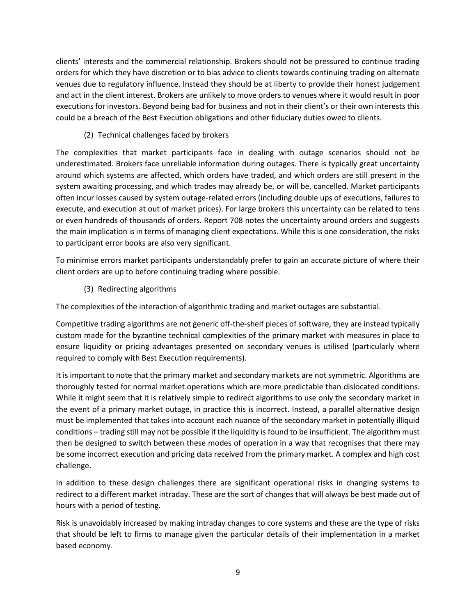clients' interests and the commercial relationship. Brokers should not be pressured to continue trading orders for which they have discretion or to bias advice to clients towards continuing trading on alternate venues due to regulatory influence. Instead they should be at liberty to provide their honest judgement and act in the client interest. Brokers are unlikely to move orders to venues where it would result in poor executions for investors. Beyond being bad for business and not in their client's or their own interests this could be a breach of the Best Execution obligations and other fiduciary duties owed to clients.

(2) Technical challenges faced by brokers

The complexities that market participants face in dealing with outage scenarios should not be underestimated. Brokers face unreliable information during outages. There is typically great uncertainty around which systems are affected, which orders have traded, and which orders are still present in the system awaiting processing, and which trades may already be, or will be, cancelled. Market participants often incur losses caused by system outage-related errors (including double ups of executions, failures to execute, and execution at out of market prices). For large brokers this uncertainty can be related to tens or even hundreds of thousands of orders. Report 708 notes the uncertainty around orders and suggests the main implication is in terms of managing client expectations. While this is one consideration, the risks to participant error books are also very significant.

To minimise errors market participants understandably prefer to gain an accurate picture of where their client orders are up to before continuing trading where possible.

(3) Redirecting algorithms

The complexities of the interaction of algorithmic trading and market outages are substantial.

Competitive trading algorithms are not generic off-the-shelf pieces of software, they are instead typically custom made for the byzantine technical complexities of the primary market with measures in place to ensure liquidity or pricing advantages presented on secondary venues is utilised (particularly where required to comply with Best Execution requirements).

It is important to note that the primary market and secondary markets are not symmetric. Algorithms are thoroughly tested for normal market operations which are more predictable than dislocated conditions. While it might seem that it is relatively simple to redirect algorithms to use only the secondary market in the event of a primary market outage, in practice this is incorrect. Instead, a parallel alternative design must be implemented that takes into account each nuance of the secondary market in potentially illiquid conditions – trading still may not be possible if the liquidity is found to be insufficient. The algorithm must then be designed to switch between these modes of operation in a way that recognises that there may be some incorrect execution and pricing data received from the primary market. A complex and high cost challenge.

In addition to these design challenges there are significant operational risks in changing systems to redirect to a different market intraday. These are the sort of changes that will always be best made out of hours with a period of testing.

Risk is unavoidably increased by making intraday changes to core systems and these are the type of risks that should be left to firms to manage given the particular details of their implementation in a market based economy.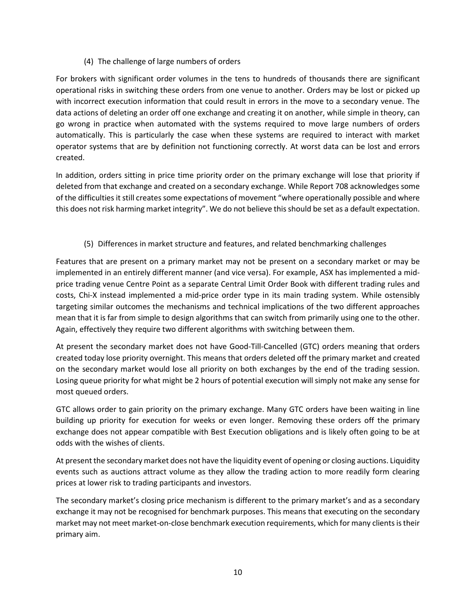### (4) The challenge of large numbers of orders

For brokers with significant order volumes in the tens to hundreds of thousands there are significant operational risks in switching these orders from one venue to another. Orders may be lost or picked up with incorrect execution information that could result in errors in the move to a secondary venue. The data actions of deleting an order off one exchange and creating it on another, while simple in theory, can go wrong in practice when automated with the systems required to move large numbers of orders automatically. This is particularly the case when these systems are required to interact with market operator systems that are by definition not functioning correctly. At worst data can be lost and errors created.

In addition, orders sitting in price time priority order on the primary exchange will lose that priority if deleted from that exchange and created on a secondary exchange. While Report 708 acknowledges some of the difficulties it still creates some expectations of movement "where operationally possible and where this does not risk harming market integrity". We do not believe this should be set as a default expectation.

# (5) Differences in market structure and features, and related benchmarking challenges

Features that are present on a primary market may not be present on a secondary market or may be implemented in an entirely different manner (and vice versa). For example, ASX has implemented a midprice trading venue Centre Point as a separate Central Limit Order Book with different trading rules and costs, Chi-X instead implemented a mid-price order type in its main trading system. While ostensibly targeting similar outcomes the mechanisms and technical implications of the two different approaches mean that it is far from simple to design algorithms that can switch from primarily using one to the other. Again, effectively they require two different algorithms with switching between them.

At present the secondary market does not have Good-Till-Cancelled (GTC) orders meaning that orders created today lose priority overnight. This means that orders deleted off the primary market and created on the secondary market would lose all priority on both exchanges by the end of the trading session. Losing queue priority for what might be 2 hours of potential execution will simply not make any sense for most queued orders.

GTC allows order to gain priority on the primary exchange. Many GTC orders have been waiting in line building up priority for execution for weeks or even longer. Removing these orders off the primary exchange does not appear compatible with Best Execution obligations and is likely often going to be at odds with the wishes of clients.

At present the secondary market does not have the liquidity event of opening or closing auctions. Liquidity events such as auctions attract volume as they allow the trading action to more readily form clearing prices at lower risk to trading participants and investors.

The secondary market's closing price mechanism is different to the primary market's and as a secondary exchange it may not be recognised for benchmark purposes. This means that executing on the secondary market may not meet market-on-close benchmark execution requirements, which for many clients is their primary aim.